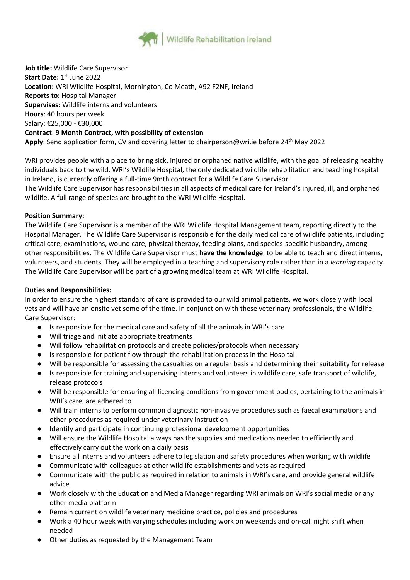

**Job title:** Wildlife Care Supervisor **Start Date:** 1<sup>st</sup> June 2022 **Location**: WRI Wildlife Hospital, Mornington, Co Meath, A92 F2NF, Ireland **Reports to**: Hospital Manager **Supervises:** Wildlife interns and volunteers **Hours**: 40 hours per week Salary: €25,000 - €30,000 **Contract**: **9 Month Contract, with possibility of extension** Apply: Send application form, CV and covering letter to chairperson@wri.ie before 24<sup>th</sup> May 2022

WRI provides people with a place to bring sick, injured or orphaned native wildlife, with the goal of releasing healthy individuals back to the wild. WRI's Wildlife Hospital, the only dedicated wildlife rehabilitation and teaching hospital in Ireland, is currently offering a full-time 9mth contract for a Wildlife Care Supervisor.

The Wildlife Care Supervisor has responsibilities in all aspects of medical care for Ireland's injured, ill, and orphaned wildlife. A full range of species are brought to the WRI Wildlife Hospital.

# **Position Summary:**

The Wildlife Care Supervisor is a member of the WRI Wildlife Hospital Management team, reporting directly to the Hospital Manager. The Wildlife Care Supervisor is responsible for the daily medical care of wildlife patients, including critical care, examinations, wound care, physical therapy, feeding plans, and species-specific husbandry, among other responsibilities. The Wildlife Care Supervisor must **have the knowledge**, to be able to teach and direct interns, volunteers, and students. They will be employed in a teaching and supervisory role rather than in a *learning* capacity. The Wildlife Care Supervisor will be part of a growing medical team at WRI Wildlife Hospital.

## **Duties and Responsibilities:**

In order to ensure the highest standard of care is provided to our wild animal patients, we work closely with local vets and will have an onsite vet some of the time. In conjunction with these veterinary professionals, the Wildlife Care Supervisor:

- Is responsible for the medical care and safety of all the animals in WRI's care
- Will triage and initiate appropriate treatments
- Will follow rehabilitation protocols and create policies/protocols when necessary
- Is responsible for patient flow through the rehabilitation process in the Hospital
- Will be responsible for assessing the casualties on a regular basis and determining their suitability for release
- Is responsible for training and supervising interns and volunteers in wildlife care, safe transport of wildlife, release protocols
- Will be responsible for ensuring all licencing conditions from government bodies, pertaining to the animals in WRI's care, are adhered to
- Will train interns to perform common diagnostic non-invasive procedures such as faecal examinations and other procedures as required under veterinary instruction
- Identify and participate in continuing professional development opportunities
- Will ensure the Wildlife Hospital always has the supplies and medications needed to efficiently and effectively carry out the work on a daily basis
- Ensure all interns and volunteers adhere to legislation and safety procedures when working with wildlife
- Communicate with colleagues at other wildlife establishments and vets as required
- Communicate with the public as required in relation to animals in WRI's care, and provide general wildlife advice
- Work closely with the Education and Media Manager regarding WRI animals on WRI's social media or any other media platform
- Remain current on wildlife veterinary medicine practice, policies and procedures
- Work a 40 hour week with varying schedules including work on weekends and on-call night shift when needed
- Other duties as requested by the Management Team